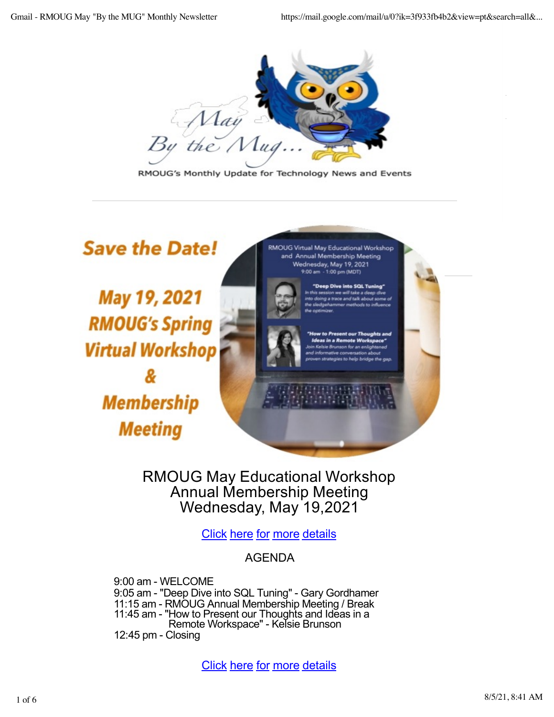

RMOUG's Monthly Update for Technology News and Events

**Save the Date!** 

May 19, 2021 **RMOUG's Spring Virtual Workshop Membership Meeting** 

RMOUG Virtual May Educational Workshop and Annual Membership Meeting Wednesday, May 19, 2021<br>9:00 am - 1:00 pm (MDT)

"Deep Div



RMOUG May Educational Workshop Annual Membership Meeting Wednesday, May 19,2021

[Clic](https://rmoug.org/EmailTracker/LinkTracker.ashx?linkAndRecipientCode=7RS%2bWKNI6TBAeidqLwVFS9ZhuqbKYleJqBEx8YrK1gm5GlcwsFeXr%2bEP1Iv6y27dFSSghyGIbU1r%2b3ub4bV3iVTZUpBNIDfhnaS5Af10cpE%3d)k [here](https://rmoug.org/EmailTracker/LinkTracker.ashx?linkAndRecipientCode=7RS%2bWKNI6TBAeidqLwVFS9ZhuqbKYleJqBEx8YrK1gm5GlcwsFeXr%2bEP1Iv6y27dFSSghyGIbU1r%2b3ub4bV3iVTZUpBNIDfhnaS5Af10cpE%3d) for [mo](https://rmoug.org/EmailTracker/LinkTracker.ashx?linkAndRecipientCode=7RS%2bWKNI6TBAeidqLwVFS9ZhuqbKYleJqBEx8YrK1gm5GlcwsFeXr%2bEP1Iv6y27dFSSghyGIbU1r%2b3ub4bV3iVTZUpBNIDfhnaS5Af10cpE%3d)re [detai](https://rmoug.org/EmailTracker/LinkTracker.ashx?linkAndRecipientCode=7RS%2bWKNI6TBAeidqLwVFS9ZhuqbKYleJqBEx8YrK1gm5GlcwsFeXr%2bEP1Iv6y27dFSSghyGIbU1r%2b3ub4bV3iVTZUpBNIDfhnaS5Af10cpE%3d)ls

## AGENDA

9:00 am - WELCOME 9:05 am - "Deep Dive into SQL Tuning" - Gary Gordhamer 11:15 am - RMOUG Annual Membership Meeting / Break 11:45 am - "How to Present our Thoughts and Ideas in a Remote Workspace" - Kelsie Brunson 12:45 pm - Closing

[Clic](https://rmoug.org/EmailTracker/LinkTracker.ashx?linkAndRecipientCode=7RS%2bWKNI6TBAeidqLwVFS9ZhuqbKYleJqBEx8YrK1gm5GlcwsFeXr%2bEP1Iv6y27dFSSghyGIbU1r%2b3ub4bV3iVTZUpBNIDfhnaS5Af10cpE%3d)k [here](https://rmoug.org/EmailTracker/LinkTracker.ashx?linkAndRecipientCode=7RS%2bWKNI6TBAeidqLwVFS9ZhuqbKYleJqBEx8YrK1gm5GlcwsFeXr%2bEP1Iv6y27dFSSghyGIbU1r%2b3ub4bV3iVTZUpBNIDfhnaS5Af10cpE%3d) for [mo](https://rmoug.org/EmailTracker/LinkTracker.ashx?linkAndRecipientCode=7RS%2bWKNI6TBAeidqLwVFS9ZhuqbKYleJqBEx8YrK1gm5GlcwsFeXr%2bEP1Iv6y27dFSSghyGIbU1r%2b3ub4bV3iVTZUpBNIDfhnaS5Af10cpE%3d)re [detai](https://rmoug.org/EmailTracker/LinkTracker.ashx?linkAndRecipientCode=7RS%2bWKNI6TBAeidqLwVFS9ZhuqbKYleJqBEx8YrK1gm5GlcwsFeXr%2bEP1Iv6y27dFSSghyGIbU1r%2b3ub4bV3iVTZUpBNIDfhnaS5Af10cpE%3d)ls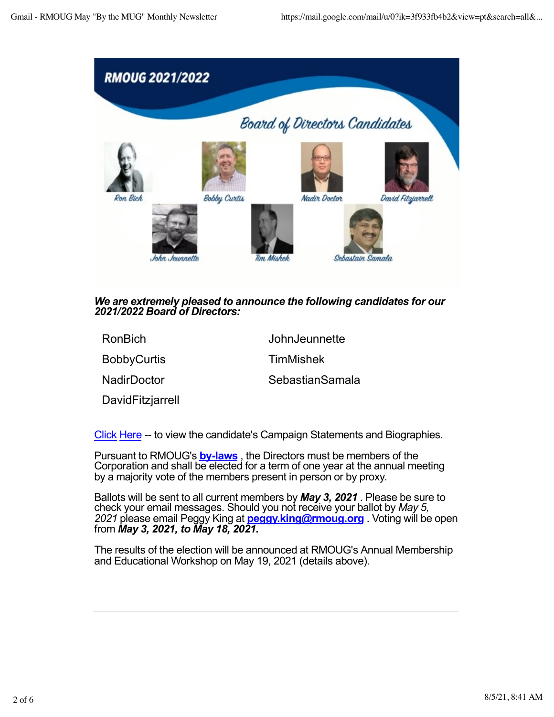

## *We are extremely pleased to announce the following candidates for our 2021/2022 Board of Directors:*

RonBich JohnJeunnette

BobbyCurtis TimMishek

NadirDoctor SebastianSamala

DavidFitzjarrell

[Cli](https://rmoug.org/EmailTracker/LinkTracker.ashx?linkAndRecipientCode=4TgVavupHIOxNrqAvHCtS4hAdNlzFvdL5e%2fLeFx3AB4JMQ9VfxEjY0dtCrmLdoQpHHuUOtUVc3savDsPDDLuqjKe6piLdMXys2VJrz0PSUs%3d)ck [He](https://rmoug.org/EmailTracker/LinkTracker.ashx?linkAndRecipientCode=4TgVavupHIOxNrqAvHCtS4hAdNlzFvdL5e%2fLeFx3AB4JMQ9VfxEjY0dtCrmLdoQpHHuUOtUVc3savDsPDDLuqjKe6piLdMXys2VJrz0PSUs%3d)re -- to view the candidate's Campaign Statements and Biographies.

Pursuant to RMOUG's **[by-law](https://rmoug.org/EmailTracker/LinkTracker.ashx?linkAndRecipientCode=dDhMobW3wYA%2bKSvZ1fZkbz%2bk0qy6htm%2bueHbBbU%2bRbPIFbcOzk7bUOY%2fgPN%2bdQqbUoZqDTds75Xz2YY8ZVYmosgVghp0VO3noNXHP1wszOU%3d)s** , the Directors must be members of the Corporation and shall be elected for a term of one year at the annual meeting by a majority vote of the members present in person or by proxy.

Ballots will be sent to all current members by *May 3, 2021* . Please be sure to check your email messages. Should you not receive your ballot by *May 5, 2021* please email Peggy King at **[peggy.king@rmoug.o](mailto:peggy.king@rmoug.org)rg** . Voting will be open from *May 3, 2021, to May 18, 2021.*

The results of the election will be announced at RMOUG's Annual Membership and Educational Workshop on May 19, 2021 (details above).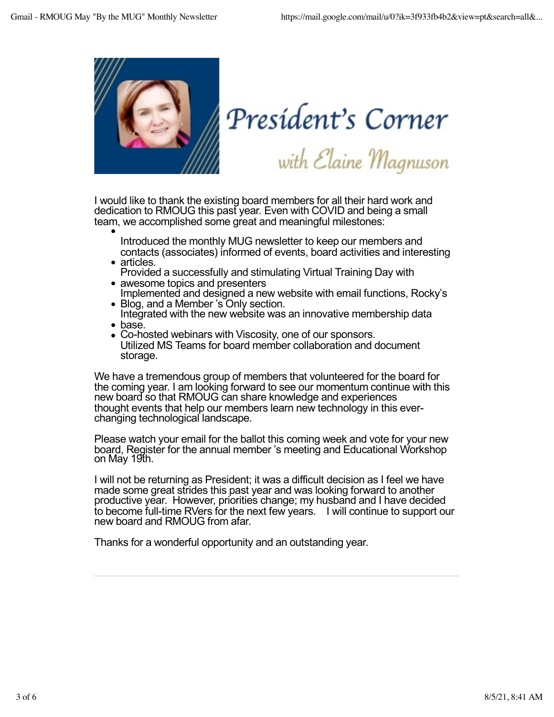

President's Corner<br>with Elaine Magnuson

I would like to thank the existing board members for all their hard work and dedication to RMOUG this past year. Even with COVID and being a small team, we accomplished some great and meaningful milestones:

- Introduced the monthly MUG newsletter to keep our members and contacts (associates) informed of events, board activities and interesting<br>articles.
- Provided a successfully and stimulating Virtual Training Day with
- awesome topics and presenters Implemented and designed a new website with email functions, Rocky's
- Blog, and a Member 's Only section.
- Integrated with the new website was an innovative membership data • base.
- Co-hosted webinars with Viscosity, one of our sponsors. Utilized MS Teams for board member collaboration and document storage.

We have a tremendous group of members that volunteered for the board for the coming year. I am looking forward to see our momentum continue with this new board so that RMOUG can share knowledge and experiences thought events that help our members learn new technology in this ever- changing technological landscape.

Please watch your email for the ballot this coming week and vote for your new board, Register for the annual member 's meeting and Educational Workshop on May 19th.

I will not be returning as President; it was a difficult decision as I feel we have made some great strides this past year and was looking forward to another productive year. However, priorities change; my husband and I have decided to become full-time RVers for the next few years. I will continue to support our new board and RMOUG from afar.

Thanks for a wonderful opportunity and an outstanding year.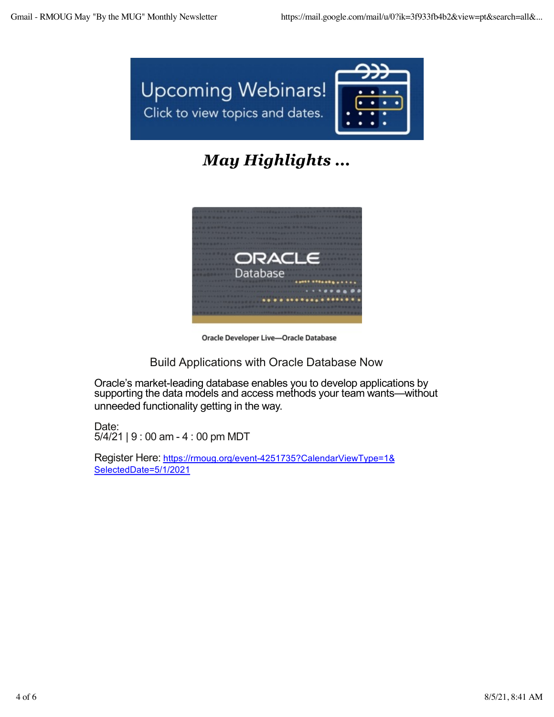

## *May Highlights ...*



Oracle Developer Live-Oracle Database

Build Applications with Oracle Database Now

Oracle's market-leading database enables you to develop applications by supporting the data models and access methods your team wants—without unneeded functionality getting in the way.

Date: 5/4/21 | 9 : 00 am - 4 : 00 pm MDT

Register Here: [https://rmoug.org/event-4251735?CalendarViewType=1](https://rmoug.org/EmailTracker/LinkTracker.ashx?linkAndRecipientCode=fWQ9Ck5C8ryKahUYh0uOvSmTZjYw5tvlGtfnhaMqsWM%2bfLfSn1OQaFkaMa1r01QYSaY1rzHqbITm%2biO%2bUse%2fgJPovyOPdi7TgE7o%2bMMBOak%3d)& [SelectedDate=5/1/20](https://rmoug.org/EmailTracker/LinkTracker.ashx?linkAndRecipientCode=fWQ9Ck5C8ryKahUYh0uOvSmTZjYw5tvlGtfnhaMqsWM%2bfLfSn1OQaFkaMa1r01QYSaY1rzHqbITm%2biO%2bUse%2fgJPovyOPdi7TgE7o%2bMMBOak%3d)21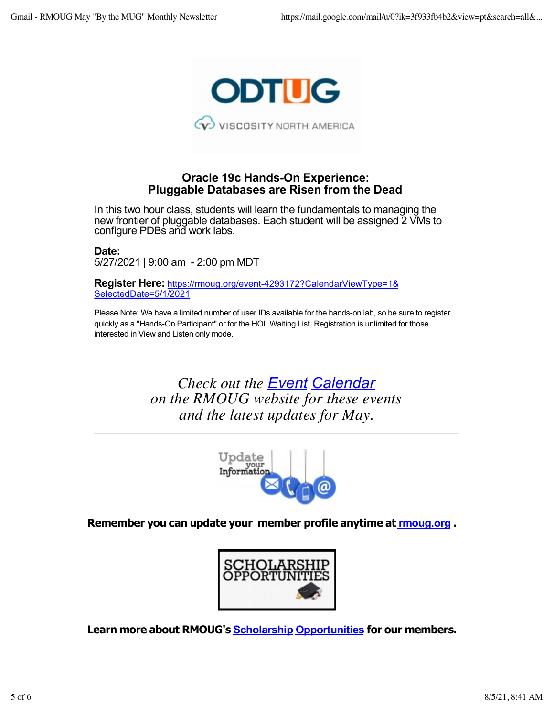

## **Oracle 19c Hands-On Experience: Pluggable Databases are Risen from the Dead**

In this two hour class, students will learn the fundamentals to managing the new frontier of pluggable databases. Each student will be assigned 2 VMs to configure PDBs and work labs.

**Date:** 5/27/2021 | 9:00 am - 2:00 pm MDT

**Register Here:** [https://rmoug.org/event-4293172?CalendarViewType=1](https://rmoug.org/EmailTracker/LinkTracker.ashx?linkAndRecipientCode=uvR%2bHamA4Tu4HvnukJV1VIGHe5fSfx9gEmUNjqs2PAWCyYbJfQxFCzd3%2bGrypqpffbzLr60lfTeQmSFyvunwxZSiPrebcEsci2uUbqQ%2bcA0%3d)& [SelectedDate=5/1/20](https://rmoug.org/EmailTracker/LinkTracker.ashx?linkAndRecipientCode=uvR%2bHamA4Tu4HvnukJV1VIGHe5fSfx9gEmUNjqs2PAWCyYbJfQxFCzd3%2bGrypqpffbzLr60lfTeQmSFyvunwxZSiPrebcEsci2uUbqQ%2bcA0%3d)21

Please Note: We have a limited number of user IDs available for the hands-on lab, so be sure to register quickly as a "Hands-On Participant" or for the HOL Waiting List. Registration is unlimited for those interested in View and Listen only mode.

> *Check out the [Even](https://rmoug.org/EmailTracker/LinkTracker.ashx?linkAndRecipientCode=cMpKP0jq5ElXGUKFxyUiZ4TVcgJJTYqaQ6gs80gL32HoYlQVC6HODFrz6a%2bj3R7%2bC4oFuS%2bC%2bArRrlZ4rJRhKoZcfH7nhUNOoOLlXnj4878%3d)t [Calenda](https://rmoug.org/EmailTracker/LinkTracker.ashx?linkAndRecipientCode=cMpKP0jq5ElXGUKFxyUiZ4TVcgJJTYqaQ6gs80gL32HoYlQVC6HODFrz6a%2bj3R7%2bC4oFuS%2bC%2bArRrlZ4rJRhKoZcfH7nhUNOoOLlXnj4878%3d)r on the RMOUG website for these events and the latest updates for May.*



**Remember you can update your member profile anytime at [rmoug.o](https://rmoug.org/EmailTracker/LinkTracker.ashx?linkAndRecipientCode=yxgX7POloC7RW20gtpAuBA9jb8iNyk8%2bLnYTxmhIV5J4lDkmTHdJ%2fRL4sjCg0zZVLL4kRY1fQLbksyqx8QcBOar7cSaC5kZ72RJ3SGzFxYY%3d)rg .**



**Learn more about RMOUG's [Scholarsh](https://rmoug.org/EmailTracker/LinkTracker.ashx?linkAndRecipientCode=oI6V4FxaMGfADYrsfboZdH%2fqtstI11nyRq%2bJT3ry2wEterhs3TWvs352u8DNCudorWBgqLyCry5bTRkZQi2fuDoByU1J8Eiip9JG1Uov%2f3k%3d)ip [Opportunitie](https://rmoug.org/EmailTracker/LinkTracker.ashx?linkAndRecipientCode=oI6V4FxaMGfADYrsfboZdH%2fqtstI11nyRq%2bJT3ry2wEterhs3TWvs352u8DNCudorWBgqLyCry5bTRkZQi2fuDoByU1J8Eiip9JG1Uov%2f3k%3d)s for our members.**